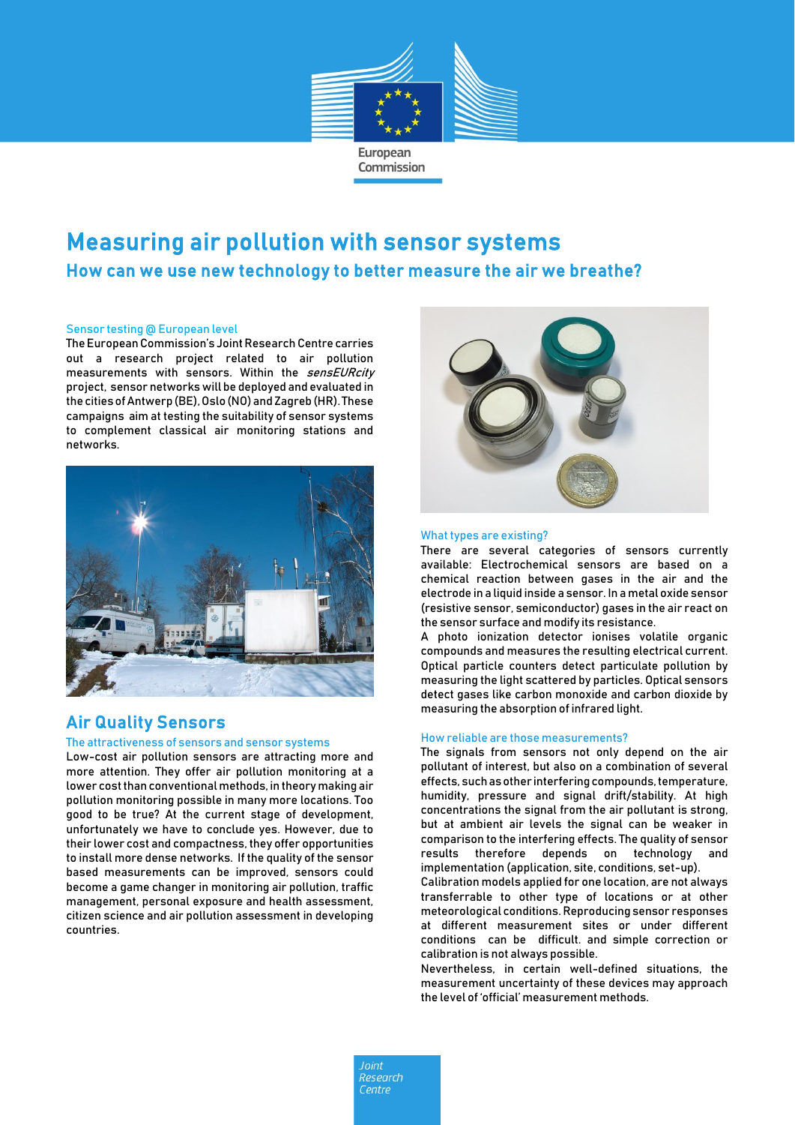

# Measuring air pollution with sensor systems How can we use new technology to better measure the air we breathe?

#### Sensor testing @ European level

The European Commission's Joint Research Centre carries out a research project related to air pollution measurements with sensors. Within the sensEURcity project, sensor networks will be deployed and evaluated in the cities of Antwerp (BE), Oslo (NO) and Zagreb (HR). These campaigns aim at testing the suitability of sensor systems to complement classical air monitoring stations and networks.



## Air Quality Sensors

#### The attractiveness of sensors and sensor systems

Low-cost air pollution sensors are attracting more and more attention. They offer air pollution monitoring at a lower cost than conventional methods, in theory making air pollution monitoring possible in many more locations. Too good to be true? At the current stage of development, unfortunately we have to conclude yes. However, due to their lower cost and compactness, they offer opportunities to install more dense networks. If the quality of the sensor based measurements can be improved, sensors could become a game changer in monitoring air pollution, traffic management, personal exposure and health assessment, citizen science and air pollution assessment in developing countries.



#### What types are existing?

There are several categories of sensors currently available: Electrochemical sensors are based on a chemical reaction between gases in the air and the electrode in a liquid inside a sensor. In a metal oxide sensor (resistive sensor, semiconductor) gases in the air react on the sensor surface and modify its resistance.

A photo ionization detector ionises volatile organic compounds and measures the resulting electrical current. Optical particle counters detect particulate pollution by measuring the light scattered by particles. Optical sensors detect gases like carbon monoxide and carbon dioxide by measuring the absorption of infrared light.

#### How reliable are those measurements?

The signals from sensors not only depend on the air pollutant of interest, but also on a combination of several effects, such as other interfering compounds, temperature, humidity, pressure and signal drift/stability. At high concentrations the signal from the air pollutant is strong, but at ambient air levels the signal can be weaker in comparison to the interfering effects. The quality of sensor results therefore depends on technology and implementation (application, site, conditions, set-up).

Calibration models applied for one location, are not always transferrable to other type of locations or at other meteorological conditions. Reproducing sensor responses at different measurement sites or under different conditions can be difficult. and simple correction or calibration is not always possible.

Nevertheless, in certain well-defined situations, the measurement uncertainty of these devices may approach the level of 'official' measurement methods.

 $Init$ Research Centre